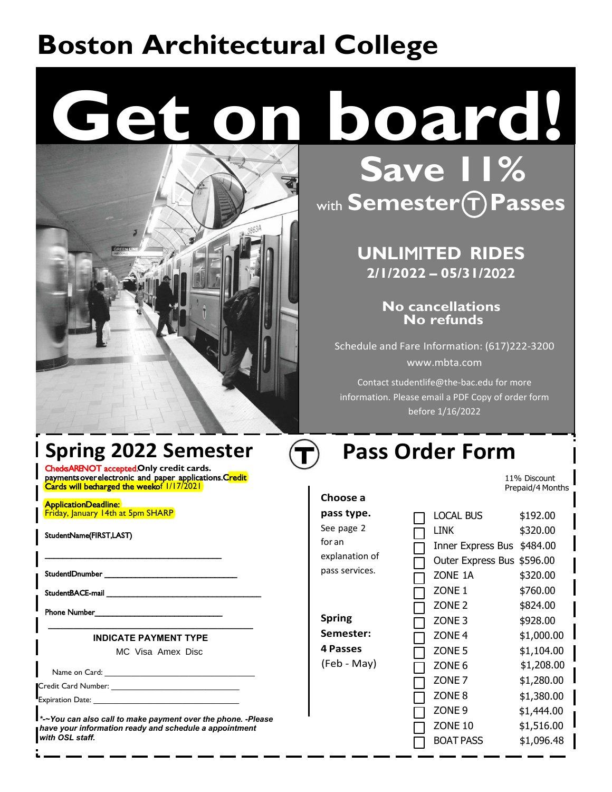# **Boston Architectural College**

# **Get on board!**



**Save 11%** with **Semester T Passes**

# **UNLI**MI**TED RIDES 2/1/2022 – 05/31/2**02**2**

**No cancellations No refunds**

Schedule and Fare Information: (617)222-3200 www.mbta.com

Contact studentlife@the-bac.edu for more information. Please email a PDF Copy of order form before 1/16/2022

# **Spring 2022 Semester**

Cheds ARENOT accepted .Only credit cards. payments over electronic and paper applications. Credit Cards will becharged the weekof 1/17/2021

\_\_\_\_\_\_\_\_\_\_\_\_\_\_\_\_\_\_\_\_\_\_\_\_\_\_\_\_\_\_\_\_\_\_\_\_\_\_\_\_

**Application Deadline:** Friday, January 14th at 5pm SHARP

StudentName(FIRST,LAST)

Student ID number

Student BACE-mail

Phone Number\_

MC Visa Amex Disc **\_\_\_\_\_\_\_\_\_\_\_\_\_\_\_\_\_\_\_\_\_\_\_\_\_\_\_\_\_\_\_\_\_\_\_\_\_\_\_\_\_ INDICATE PAYMENT TYPE**

Name on Card:

Credit Card Number:

Expiration Date:

*\*-~You can also call to make payment over the phone. -Please have your information ready and schedule a appointment with OSL staff.*

# **Pass Order Form**

11% Discount Prepaid/4 Months

| Choose a                         |                          |            |
|----------------------------------|--------------------------|------------|
| pass type.                       | <b>LOCAL BUS</b>         | \$192.00   |
| See page 2                       | LINK                     | \$320.00   |
| for an                           | Inner Express Bus        | \$484.00   |
| explanation of<br>pass services. | <b>Outer Express Bus</b> | \$596.00   |
|                                  | ZONE 1A                  | \$320.00   |
|                                  | ZONE <sub>1</sub>        | \$760.00   |
|                                  | ZONE <sub>2</sub>        | \$824.00   |
| <b>Spring</b>                    | ZONE <sub>3</sub>        | \$928.00   |
| Semester:                        | ZONE <sub>4</sub>        | \$1,000.00 |
| 4 Passes                         | ZONE <sub>5</sub>        | \$1,104.00 |
| (Feb - May)                      | ZONE <sub>6</sub>        | \$1,208.00 |
|                                  | ZONE <sub>7</sub>        | \$1,280.00 |
|                                  | ZONE <sub>8</sub>        | \$1,380.00 |
|                                  | ZONE <sub>9</sub>        | \$1,444.00 |
|                                  | ZONE 10                  | \$1,516.00 |
|                                  | <b>BOAT PASS</b>         | \$1,096.48 |